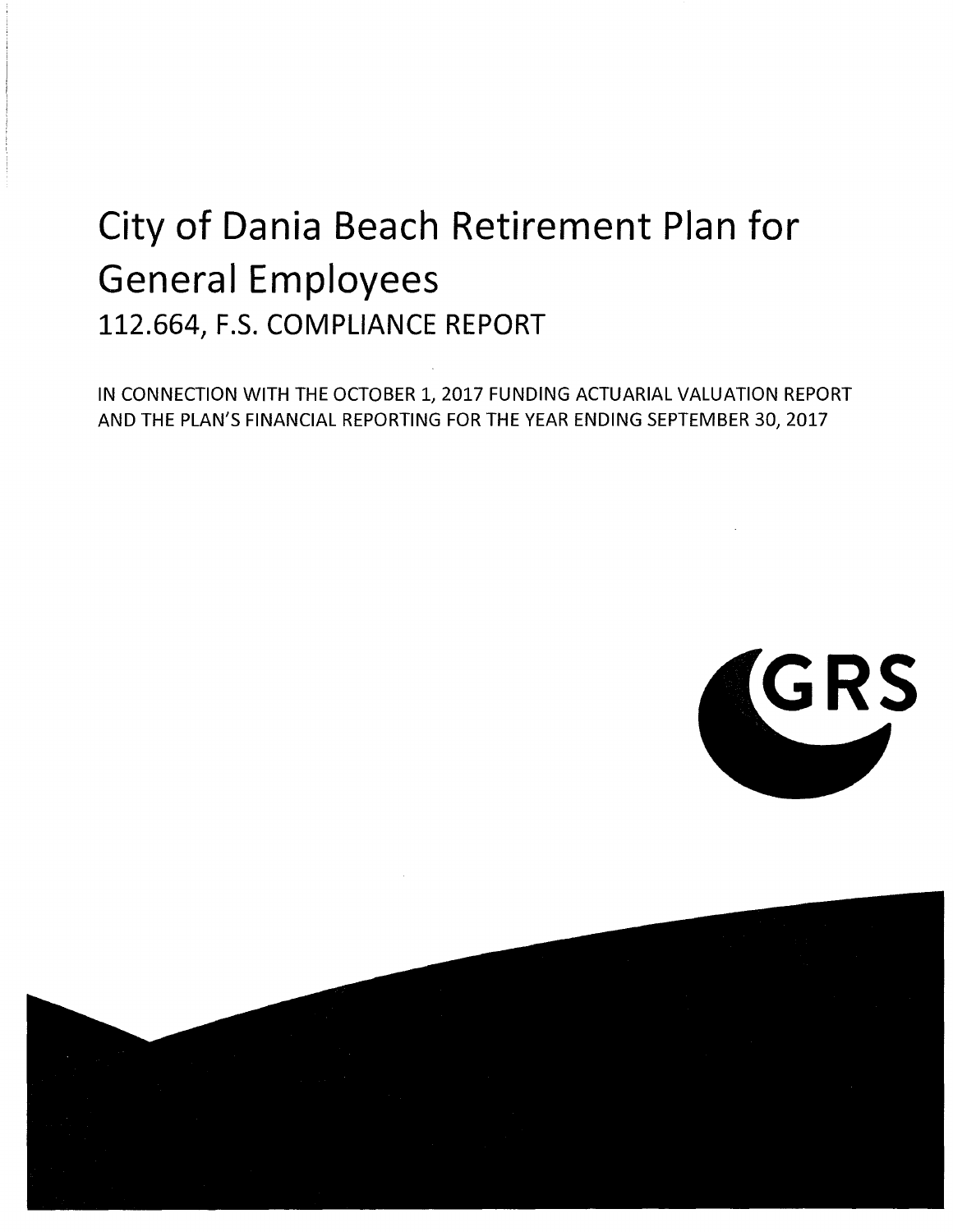# City of Dania Beach Retirement Plan for General Employees 112.664, F.S. COMPLIANCE REPORT

IN CONNECTION WITH THE OCTOBER 1, 2017 FUNDING ACTUARIAL VALUATION REPORT AND THE PLAN'S FINANCIAL REPORTING FOR THE YEAR ENDING SEPTEMBER 30, 2017



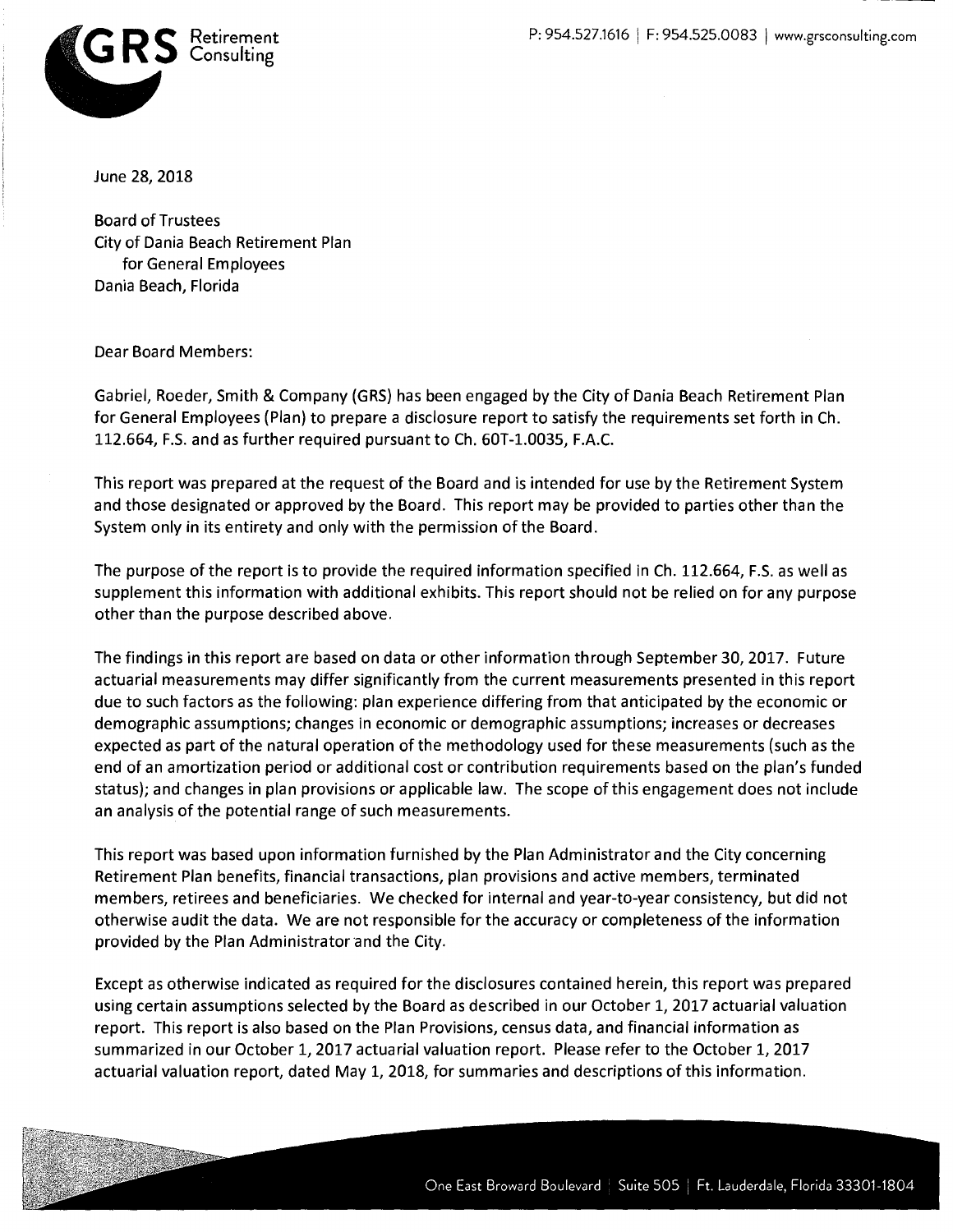

June 28, 2018

Board of Trustees City of Dania Beach Retirement Plan for General Employees Dania Beach, Florida

Dear Board Members:

Gabriel, Roeder, Smith & Company (GRS) has been engaged by the City of Dania Beach Retirement Plan for General Employees (Plan) to prepare a disclosure report to satisfy the requirements set forth in Ch. 112.664, F.S. and as further required pursuant to Ch. 60T-1.0035, F.A.C.

This report was prepared at the request of the Board and is intended for use by the Retirement System and those designated or approved by the Board. This report may be provided to parties other than the System only in its entirety and only with the permission of the Board.

The purpose of the report is to provide the required information specified in Ch. 112.664, F.S. as well as supplement this information with additional exhibits. This report should not be relied on for any purpose other than the purpose described above.

The findings in this report are based on data or other information through September 30, 2017. Future actuarial measurements may differ significantly from the current measurements presented in this report due to such factors as the following: plan experience differing from that anticipated by the economic or demographic assumptions; changes in economic or demographic assumptions; increases or decreases expected as part of the natural operation of the methodology used for these measurements (such as the end of an amortization period or additional cost or contribution requirements based on the plan's funded status); and changes in plan provisions or applicable law. The scope of this engagement does not include an analysis of the potential range of such measurements.

This report was based upon information furnished by the Plan Administrator and the City concerning Retirement Plan benefits, financial transactions, plan provisions and active members, terminated members, retirees and beneficiaries. We checked for internal and year-to-year consistency, but did not otherwise audit the data. We are not responsible for the accuracy or completeness of the information provided by the Plan Administrator and the City.

Except as otherwise indicated as required for the disclosures contained herein, this report was prepared using certain assumptions selected by the Board as described in our October 1, 2017 actuarial valuation report. This report is also based on the Plan Provisions, census data, and financial information as summarized in our October 1, 2017 actuarial valuation report. Please refer to the October 1, 2017 actuarial valuation report, dated May 1, 2018, for summaries and descriptions of this information.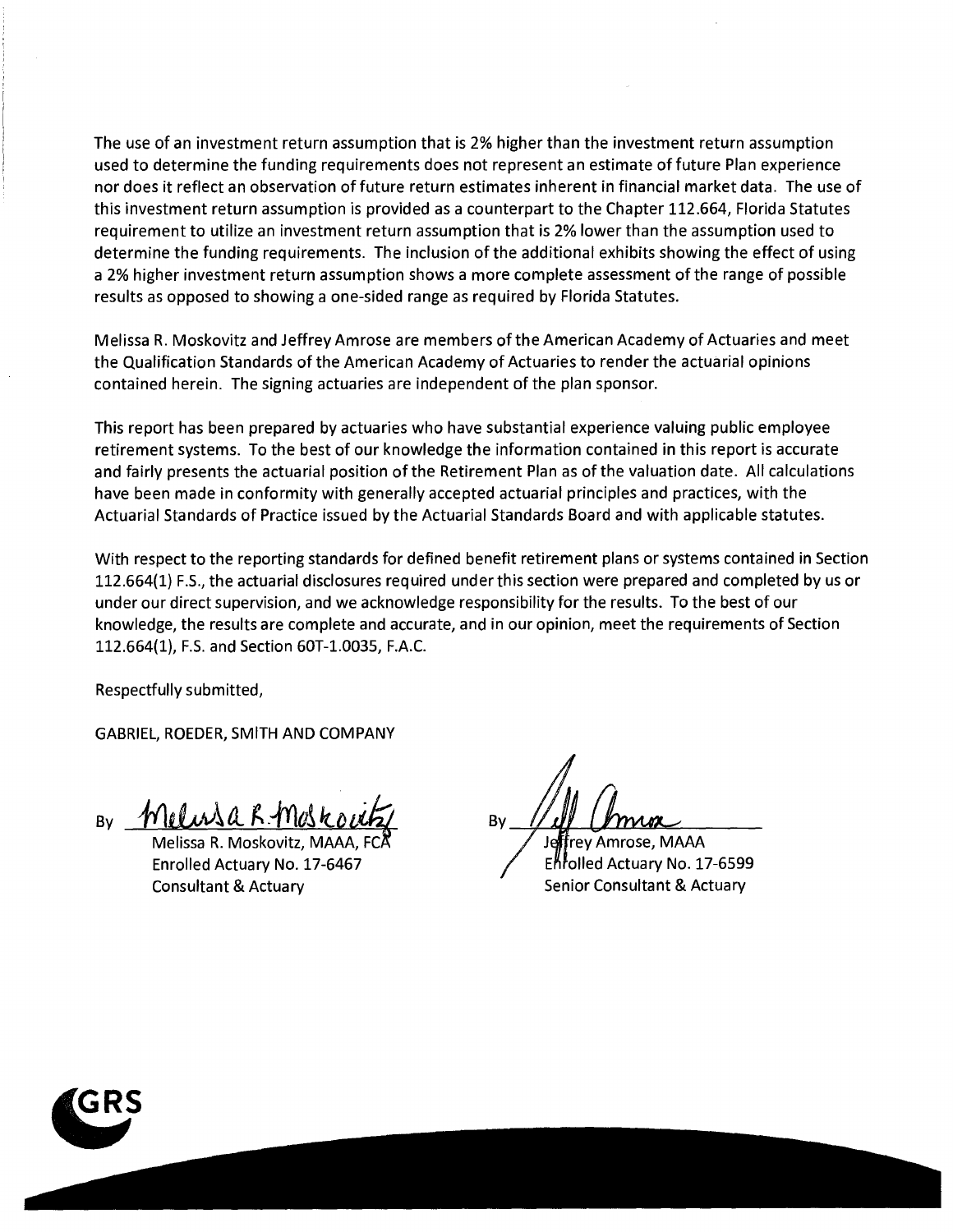The use of an investment return assumption that is 2% higher than the investment return assumption used to determine the funding requirements does not represent an estimate of future Plan experience nor does it reflect an observation of future return estimates inherent in financial market data. The use of this investment return assumption is provided as a counterpart to the Chapter 112.664, Florida Statutes requirement to utilize an investment return assumption that is 2% lower than the assumption used to determine the funding requirements. The inclusion of the additional exhibits showing the effect of using a 2% higher investment return assumption shows a more complete assessment of the range of possible results as opposed to showing a one-sided range as required by Florida Statutes.

Melissa R. Moskovitz and Jeffrey Amrose are members of the American Academy of Actuaries and meet the Qualification Standards of the American Academy of Actuaries to render the actuarial opinions contained herein. The signing actuaries are independent of the plan sponsor.

This report has been prepared by actuaries who have substantial experience valuing public employee retirement systems. To the best of our knowledge the information contained in this report is accurate and fairly presents the actuarial position of the Retirement Plan as of the valuation date. All calculations have been made in conformity with generally accepted actuarial principles and practices, with the Actuarial Standards of Practice issued by the Actuarial Standards Board and with applicable statutes.

With respect to the reporting standards for defined benefit retirement plans or systems contained in Section 112.664(1) F.S., the actuarial disclosures required under this section were prepared and completed by us or under our direct supervision, and we acknowledge responsibility for the results. To the best of our knowledge, the results are complete and accurate, and in our opinion, meet the requirements of Section 112.664(1), F.S. and Section 60T-1.0035, F.A.C.

Respectfully submitted,

GABRIEL, ROEDER, SMITH AND COMPANY

By Melusak Moskou

Melissa R. Moskovitz, MAAA, Enrolled Actuary No. 17-6467 Consultant & Actuary

By

rey Am rose, MAAA Enfolled Actuary No. 17-6599 Senior Consultant & Actuary

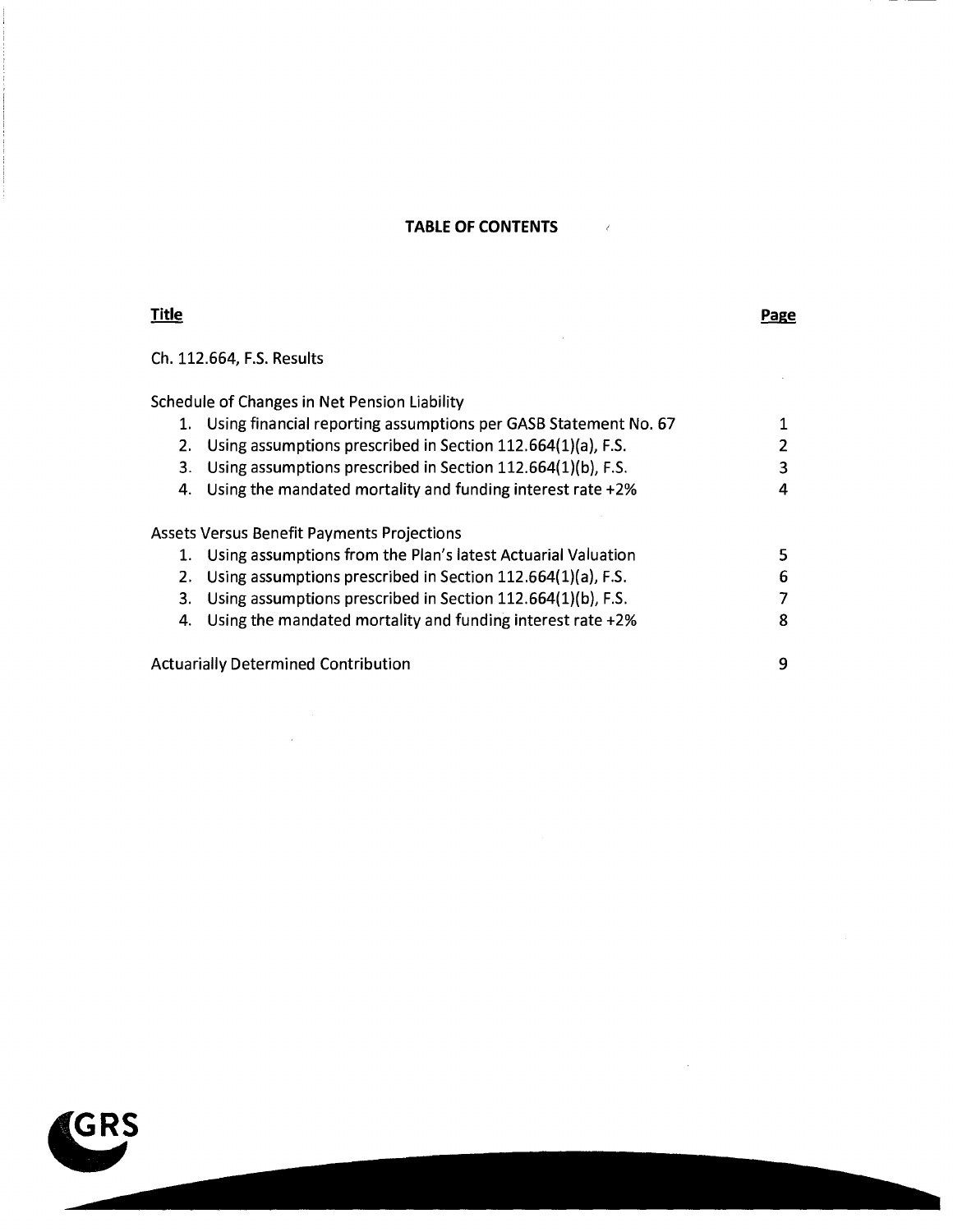#### **TABLE OF CONTENTS**

 $\sim$   $\sim$   $\sim$ 

### **Title**

#### **Page**

 $\hat{\mathcal{L}}$ 

Ch. 112.664, F.S. Results

Schedule of Changes in Net Pension Liability

 $\bar{\beta}$ 

|    | Using financial reporting assumptions per GASB Statement No. 67 |   |
|----|-----------------------------------------------------------------|---|
| 2. | Using assumptions prescribed in Section 112.664(1)(a), F.S.     |   |
| З. | Using assumptions prescribed in Section 112.664(1)(b), F.S.     | 3 |
| 4. | Using the mandated mortality and funding interest rate +2%      |   |
|    | <b>Assets Versus Benefit Payments Projections</b>               |   |
| 1. | Using assumptions from the Plan's latest Actuarial Valuation    |   |
| 2. | Using assumptions prescribed in Section 112.664(1)(a), F.S.     | 6 |
| З. | Using assumptions prescribed in Section 112.664(1)(b), F.S.     |   |
| 4. | Using the mandated mortality and funding interest rate +2%      | 8 |
|    | <b>Actuarially Determined Contribution</b>                      | q |

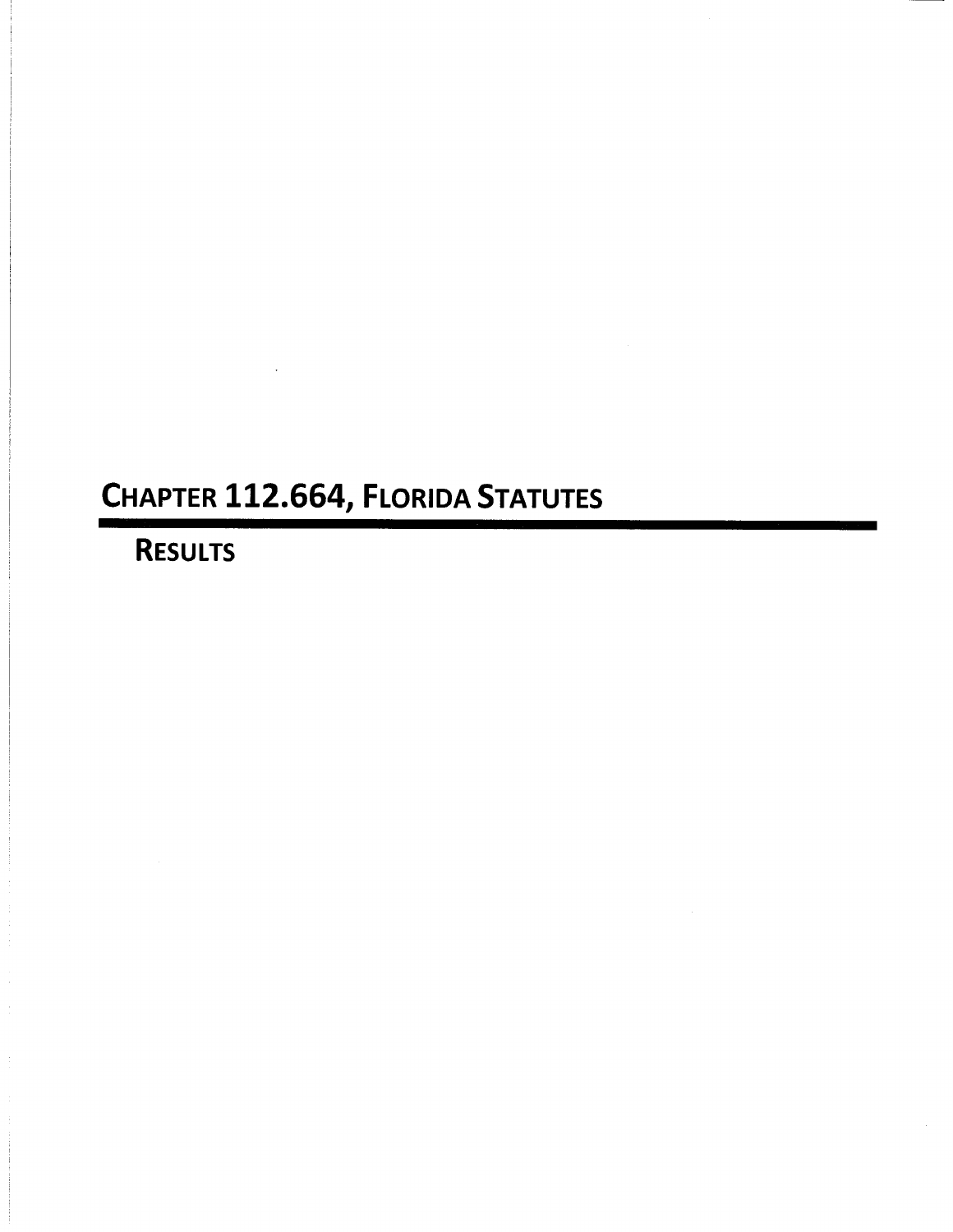## CHAPTER 112.664, FLORIDA STATUTES

## **RESULTS**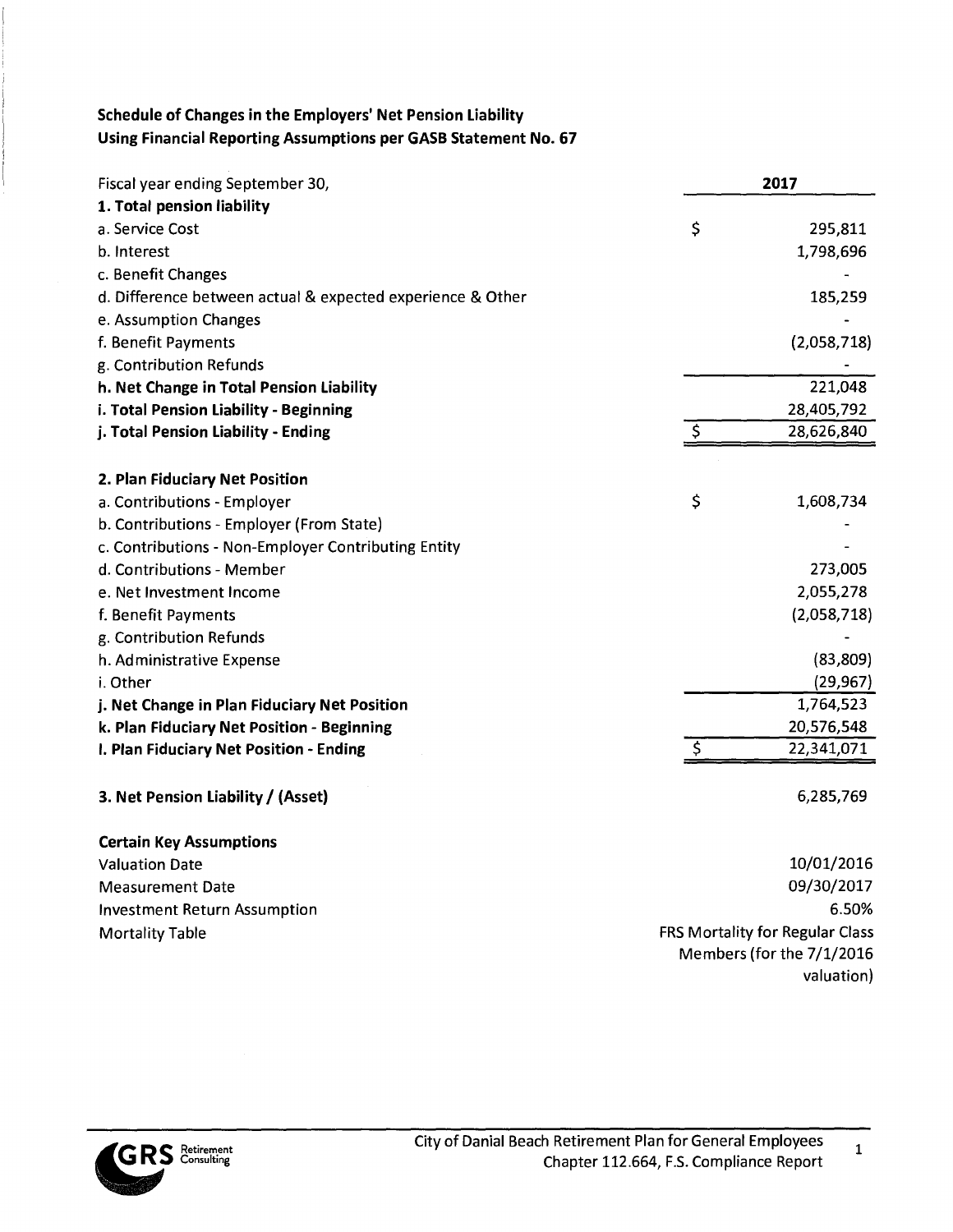## Schedule of Changes in the Employers' Net Pension Liability **Using Financial Reporting Assumptions per GASB Statement No. 67**

| Fiscal year ending September 30,                           | 2017                            |
|------------------------------------------------------------|---------------------------------|
| 1. Total pension liability                                 |                                 |
| a. Service Cost                                            | \$<br>295,811                   |
| b. Interest                                                | 1,798,696                       |
| c. Benefit Changes                                         |                                 |
| d. Difference between actual & expected experience & Other | 185,259                         |
| e. Assumption Changes                                      |                                 |
| f. Benefit Payments                                        | (2,058,718)                     |
| g. Contribution Refunds                                    |                                 |
| h. Net Change in Total Pension Liability                   | 221,048                         |
| i. Total Pension Liability - Beginning                     | 28,405,792                      |
| j. Total Pension Liability - Ending                        | \$<br>28,626,840                |
| 2. Plan Fiduciary Net Position                             |                                 |
| a. Contributions - Employer                                | \$<br>1,608,734                 |
| b. Contributions - Employer (From State)                   |                                 |
| c. Contributions - Non-Employer Contributing Entity        |                                 |
| d. Contributions - Member                                  | 273,005                         |
| e. Net Investment Income                                   | 2,055,278                       |
| f. Benefit Payments                                        | (2,058,718)                     |
| g. Contribution Refunds                                    |                                 |
| h. Administrative Expense                                  | (83, 809)                       |
| i. Other                                                   | (29, 967)                       |
| j. Net Change in Plan Fiduciary Net Position               | 1,764,523                       |
| k. Plan Fiduciary Net Position - Beginning                 | 20,576,548                      |
| I. Plan Fiduciary Net Position - Ending                    | \$<br>22,341,071                |
| 3. Net Pension Liability / (Asset)                         | 6,285,769                       |
| <b>Certain Key Assumptions</b>                             |                                 |
| <b>Valuation Date</b>                                      | 10/01/2016                      |
| <b>Measurement Date</b>                                    | 09/30/2017                      |
| <b>Investment Return Assumption</b>                        | 6.50%                           |
| <b>Mortality Table</b>                                     | FRS Mortality for Regular Class |
|                                                            | Members (for the 7/1/2016       |
|                                                            | valuation)                      |

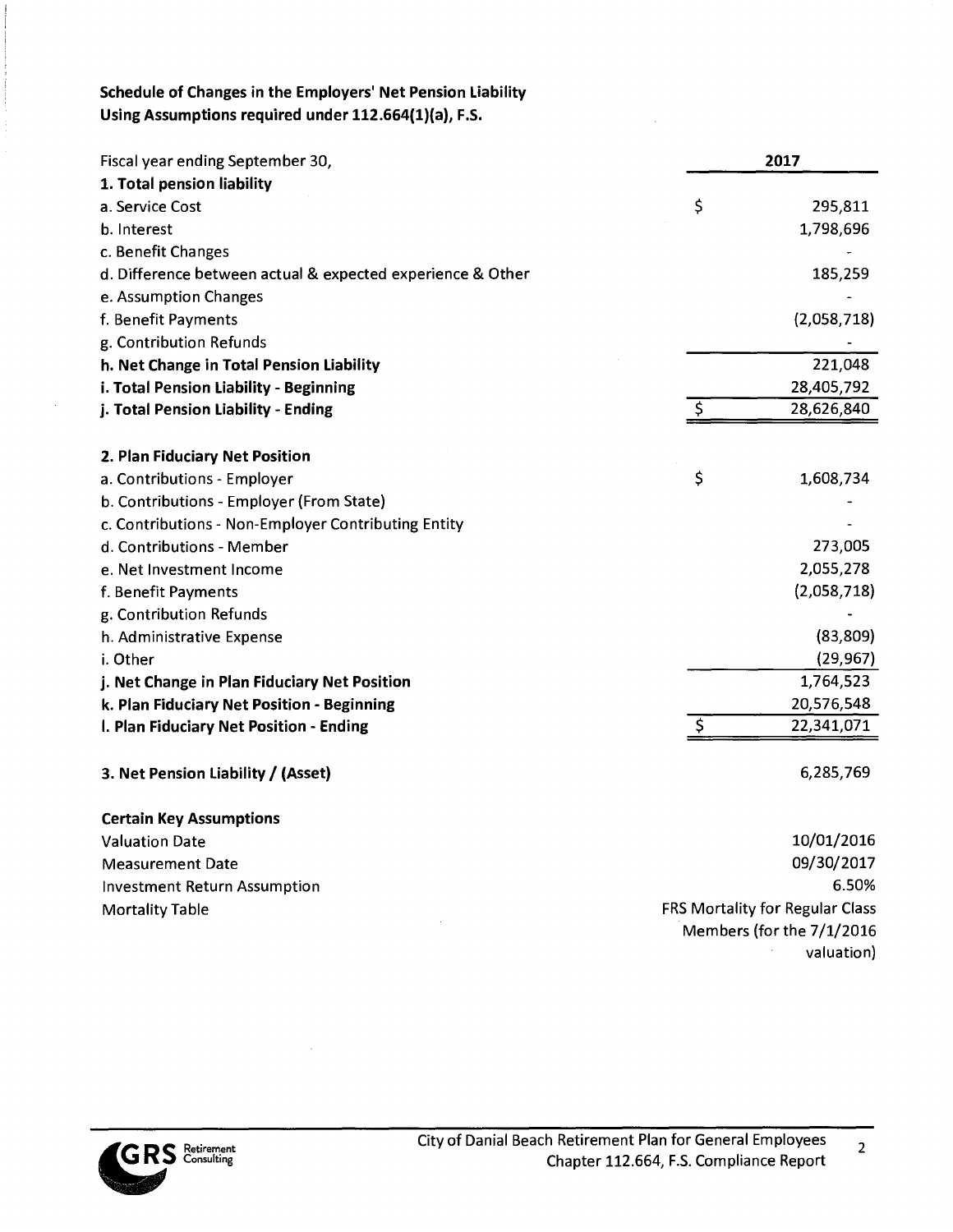#### **Schedule of Changes in the Employers' Net Pension Liability Using Assumptions required under 112.664(1)(a), F.S.**

| Fiscal year ending September 30,                           | 2017                                   |
|------------------------------------------------------------|----------------------------------------|
| 1. Total pension liability                                 |                                        |
| a. Service Cost                                            | \$<br>295,811                          |
| b. Interest                                                | 1,798,696                              |
| c. Benefit Changes                                         |                                        |
| d. Difference between actual & expected experience & Other | 185,259                                |
| e. Assumption Changes                                      |                                        |
| f. Benefit Payments                                        | (2,058,718)                            |
| g. Contribution Refunds                                    |                                        |
| h. Net Change in Total Pension Liability                   | 221,048                                |
| i. Total Pension Liability - Beginning                     | 28,405,792                             |
| j. Total Pension Liability - Ending                        | \$<br>28,626,840                       |
| 2. Plan Fiduciary Net Position                             |                                        |
| a. Contributions - Employer                                | \$<br>1,608,734                        |
| b. Contributions - Employer (From State)                   |                                        |
| c. Contributions - Non-Employer Contributing Entity        |                                        |
| d. Contributions - Member                                  | 273,005                                |
| e. Net Investment Income                                   | 2,055,278                              |
| f. Benefit Payments                                        | (2,058,718)                            |
| g. Contribution Refunds                                    |                                        |
| h. Administrative Expense                                  | (83, 809)                              |
| i. Other                                                   | (29, 967)                              |
| j. Net Change in Plan Fiduciary Net Position               | 1,764,523                              |
| k. Plan Fiduciary Net Position - Beginning                 | 20,576,548                             |
| I. Plan Fiduciary Net Position - Ending                    | $\varsigma$<br>22,341,071              |
| 3. Net Pension Liability / (Asset)                         | 6,285,769                              |
| <b>Certain Key Assumptions</b>                             |                                        |
| <b>Valuation Date</b>                                      | 10/01/2016                             |
| <b>Measurement Date</b>                                    | 09/30/2017                             |
| <b>Investment Return Assumption</b>                        | 6.50%                                  |
| <b>Mortality Table</b>                                     | <b>FRS Mortality for Regular Class</b> |
|                                                            | Members (for the 7/1/2016              |
|                                                            | valuation)                             |



 $\bar{z}$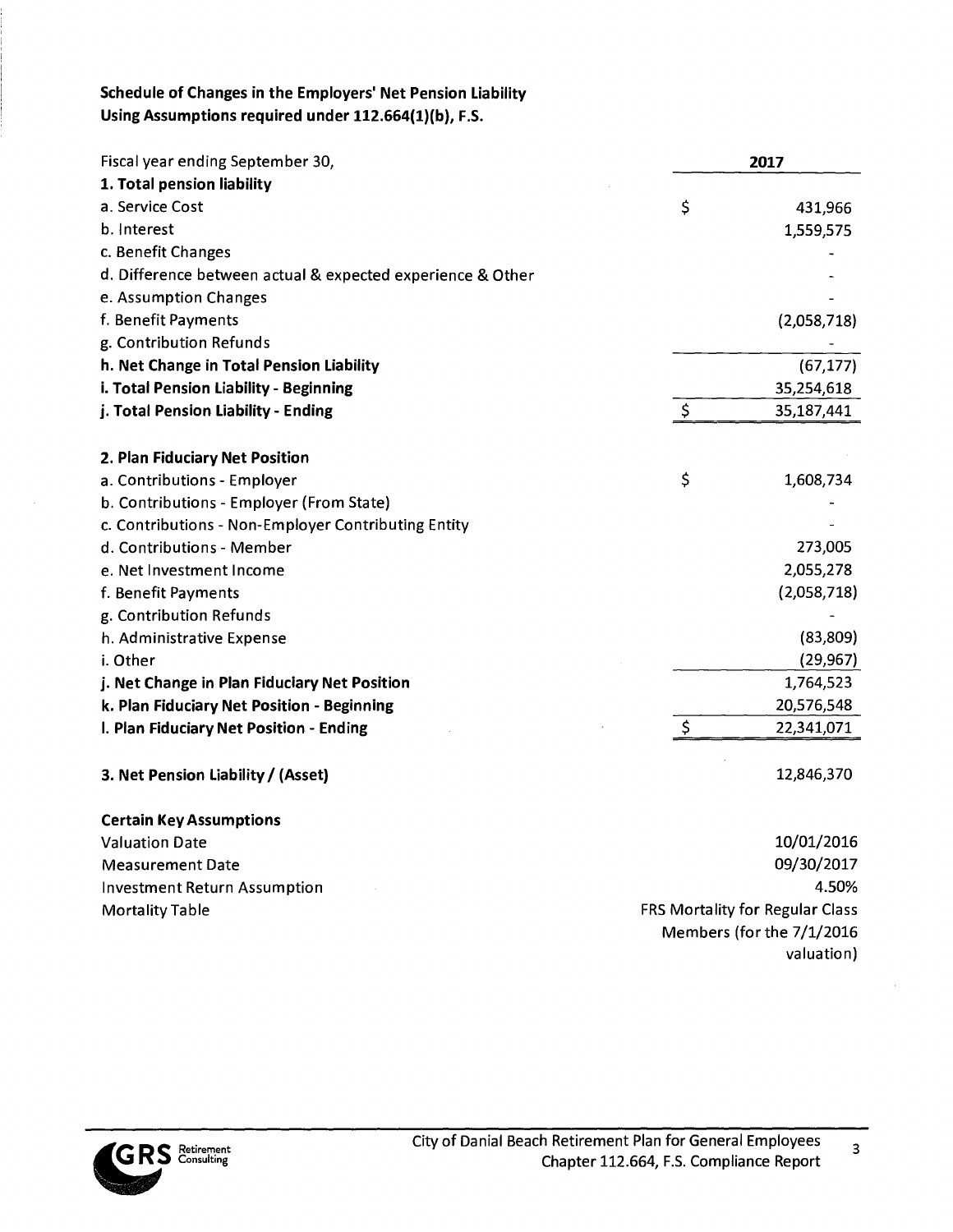## **Schedule of Changes in the Employers' Net Pension Liability Using Assumptions required under 112.664(1)(b), F.S.**

| Fiscal year ending September 30,                           |         | 2017                            |
|------------------------------------------------------------|---------|---------------------------------|
| 1. Total pension liability                                 |         |                                 |
| a. Service Cost                                            | \$      | 431,966                         |
| b. Interest                                                |         | 1,559,575                       |
| c. Benefit Changes                                         |         |                                 |
| d. Difference between actual & expected experience & Other |         |                                 |
| e. Assumption Changes                                      |         |                                 |
| f. Benefit Payments                                        |         | (2,058,718)                     |
| g. Contribution Refunds                                    |         |                                 |
| h. Net Change in Total Pension Liability                   |         | (67, 177)                       |
| i. Total Pension Liability - Beginning                     |         | 35,254,618                      |
| j. Total Pension Liability - Ending                        | $\zeta$ | 35,187,441                      |
| 2. Plan Fiduciary Net Position                             |         |                                 |
| a. Contributions - Employer                                | \$      | 1,608,734                       |
| b. Contributions - Employer (From State)                   |         |                                 |
| c. Contributions - Non-Employer Contributing Entity        |         |                                 |
| d. Contributions - Member                                  |         | 273,005                         |
| e. Net Investment Income                                   |         | 2,055,278                       |
| f. Benefit Payments                                        |         | (2,058,718)                     |
| g. Contribution Refunds                                    |         |                                 |
| h. Administrative Expense                                  |         | (83,809)                        |
| i. Other                                                   |         | (29, 967)                       |
| j. Net Change in Plan Fiduciary Net Position               |         | 1,764,523                       |
| k. Plan Fiduciary Net Position - Beginning                 |         | 20,576,548                      |
| I. Plan Fiduciary Net Position - Ending                    | \$      | 22,341,071                      |
| 3. Net Pension Liability / (Asset)                         |         | 12,846,370                      |
| <b>Certain Key Assumptions</b>                             |         |                                 |
| <b>Valuation Date</b>                                      |         | 10/01/2016                      |
| <b>Measurement Date</b>                                    |         | 09/30/2017                      |
| <b>Investment Return Assumption</b>                        |         | 4.50%                           |
| <b>Mortality Table</b>                                     |         | FRS Mortality for Regular Class |
|                                                            |         | Members (for the 7/1/2016       |
|                                                            |         | valuation)                      |



 $\overline{3}$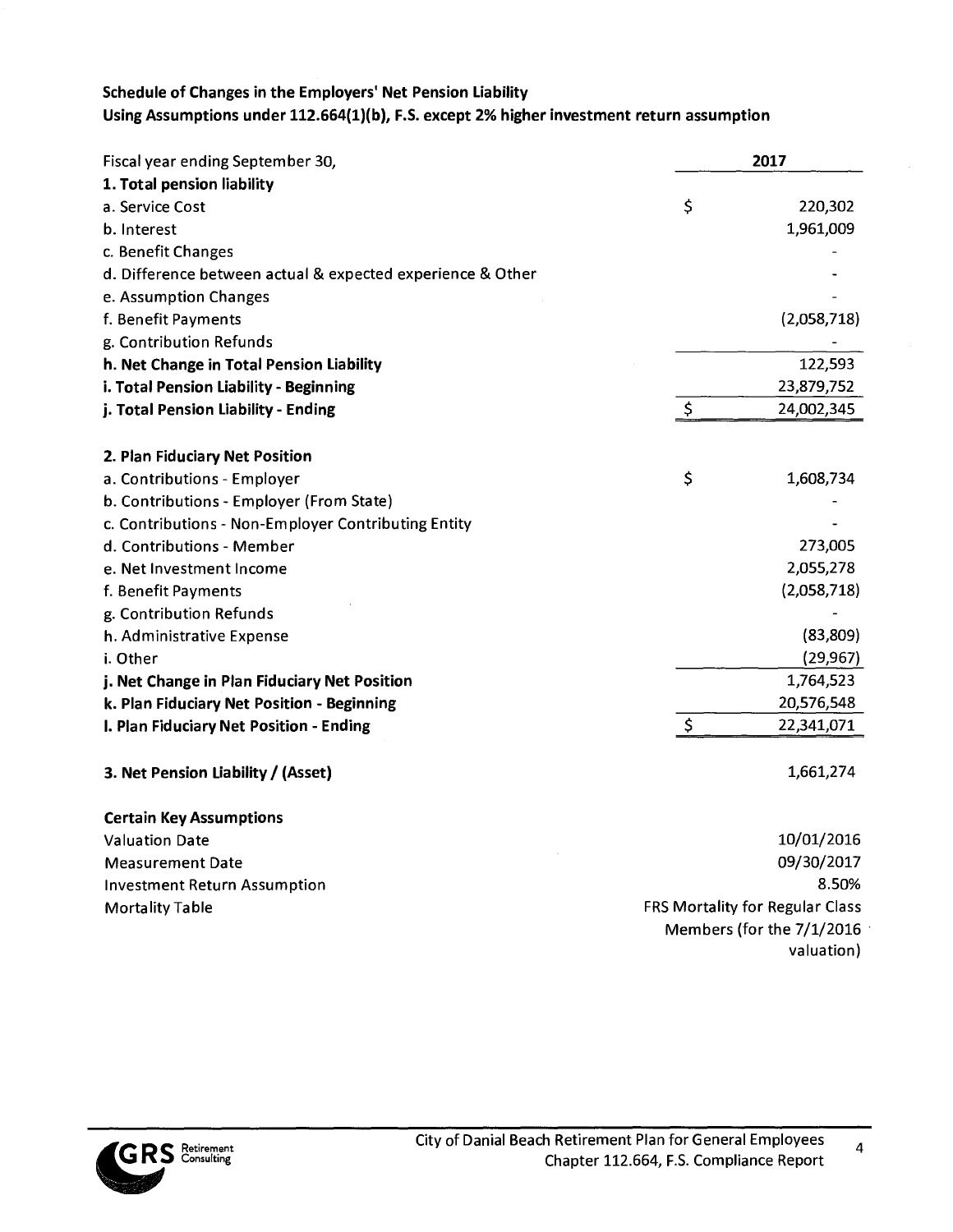### **Schedule of Changes in the Employers' Net Pension Liability Using Assumptions under 112.664(1)(b), F.S. except 2% higher investment return assumption**

| Fiscal year ending September 30,                           | 2017 |                                        |
|------------------------------------------------------------|------|----------------------------------------|
| 1. Total pension liability                                 |      |                                        |
| a. Service Cost                                            | \$   | 220,302                                |
| b. Interest                                                |      | 1,961,009                              |
| c. Benefit Changes                                         |      |                                        |
| d. Difference between actual & expected experience & Other |      |                                        |
| e. Assumption Changes                                      |      |                                        |
| f. Benefit Payments                                        |      | (2,058,718)                            |
| g. Contribution Refunds                                    |      |                                        |
| h. Net Change in Total Pension Liability                   |      | 122,593                                |
| i. Total Pension Liability - Beginning                     |      | 23,879,752                             |
| j. Total Pension Liability - Ending                        | \$   | 24,002,345                             |
| 2. Plan Fiduciary Net Position                             |      |                                        |
| a. Contributions - Employer                                | \$   | 1,608,734                              |
| b. Contributions - Employer (From State)                   |      |                                        |
| c. Contributions - Non-Employer Contributing Entity        |      |                                        |
| d. Contributions - Member                                  |      | 273,005                                |
| e. Net Investment Income                                   |      | 2,055,278                              |
| f. Benefit Payments                                        |      | (2,058,718)                            |
| g. Contribution Refunds                                    |      |                                        |
| h. Administrative Expense                                  |      | (83, 809)                              |
| i. Other                                                   |      | (29, 967)                              |
| j. Net Change in Plan Fiduciary Net Position               |      | 1,764,523                              |
| k. Plan Fiduciary Net Position - Beginning                 |      | 20,576,548                             |
| I. Plan Fiduciary Net Position - Ending                    | \$   | 22,341,071                             |
| 3. Net Pension Liability / (Asset)                         |      | 1,661,274                              |
| <b>Certain Key Assumptions</b>                             |      |                                        |
| <b>Valuation Date</b>                                      |      | 10/01/2016                             |
| <b>Measurement Date</b>                                    |      | 09/30/2017                             |
| <b>Investment Return Assumption</b>                        |      | 8.50%                                  |
| <b>Mortality Table</b>                                     |      | <b>FRS Mortality for Regular Class</b> |
|                                                            |      | Members (for the 7/1/2016              |
|                                                            |      | valuation)                             |

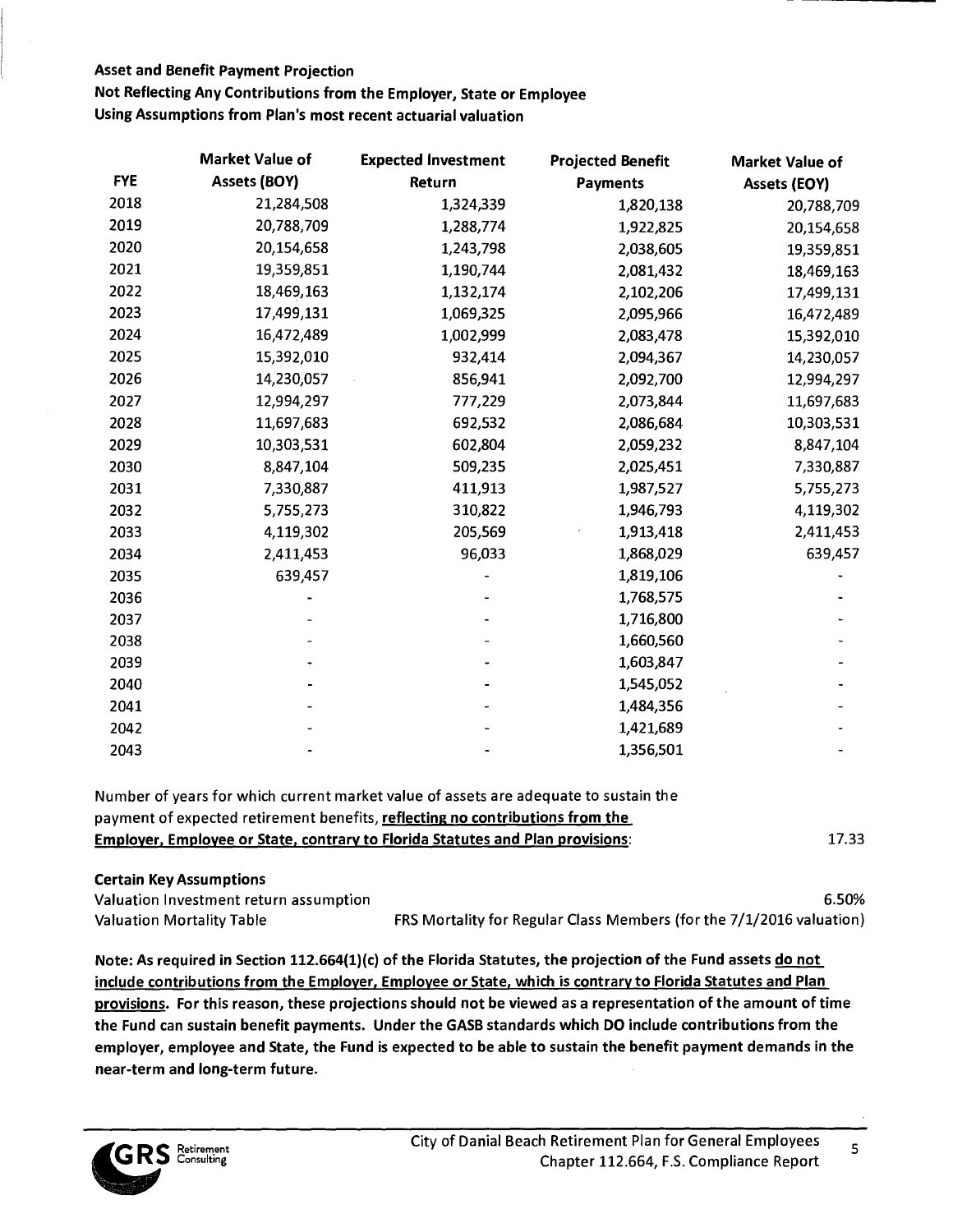Not Reflecting Any Contributions from the Employer, State or Employee

Using Assumptions from Plan's most recent actuarial valuation

|            | <b>Market Value of</b> | <b>Expected Investment</b> | <b>Projected Benefit</b> | <b>Market Value of</b> |
|------------|------------------------|----------------------------|--------------------------|------------------------|
| <b>FYE</b> | Assets (BOY)           | Return                     | <b>Payments</b>          | Assets (EOY)           |
| 2018       | 21,284,508             | 1,324,339                  | 1,820,138                | 20,788,709             |
| 2019       | 20,788,709             | 1,288,774                  | 1,922,825                | 20,154,658             |
| 2020       | 20,154,658             | 1,243,798                  | 2,038,605                | 19,359,851             |
| 2021       | 19,359,851             | 1,190,744                  | 2,081,432                | 18,469,163             |
| 2022       | 18,469,163             | 1,132,174                  | 2,102,206                | 17,499,131             |
| 2023       | 17,499,131             | 1,069,325                  | 2,095,966                | 16,472,489             |
| 2024       | 16,472,489             | 1,002,999                  | 2,083,478                | 15,392,010             |
| 2025       | 15,392,010             | 932,414                    | 2,094,367                | 14,230,057             |
| 2026       | 14,230,057             | 856,941                    | 2,092,700                | 12,994,297             |
| 2027       | 12,994,297             | 777,229                    | 2,073,844                | 11,697,683             |
| 2028       | 11,697,683             | 692,532                    | 2,086,684                | 10,303,531             |
| 2029       | 10,303,531             | 602,804                    | 2,059,232                | 8,847,104              |
| 2030       | 8,847,104              | 509,235                    | 2,025,451                | 7,330,887              |
| 2031       | 7,330,887              | 411,913                    | 1,987,527                | 5,755,273              |
| 2032       | 5,755,273              | 310,822                    | 1,946,793                | 4,119,302              |
| 2033       | 4,119,302              | 205,569                    | 1,913,418                | 2,411,453              |
| 2034       | 2,411,453              | 96,033                     | 1,868,029                | 639,457                |
| 2035       | 639,457                |                            | 1,819,106                |                        |
| 2036       |                        |                            | 1,768,575                |                        |
| 2037       |                        |                            | 1,716,800                |                        |
| 2038       |                        |                            | 1,660,560                |                        |
| 2039       |                        |                            | 1,603,847                |                        |
| 2040       |                        |                            | 1,545,052                |                        |
| 2041       |                        |                            | 1,484,356                |                        |
| 2042       |                        |                            | 1,421,689                |                        |
| 2043       |                        |                            | 1,356,501                |                        |

Number of years for which current market value of assets are adequate to sustain the payment of expected retirement benefits, **reflecting no contributions from the Employer, Employee or State, contrary to Florida Statutes and Plan provisions:** 17.33

| <b>Certain Key Assumptions</b>         |                                                                      |
|----------------------------------------|----------------------------------------------------------------------|
| Valuation Investment return assumption | 6.50%                                                                |
| <b>Valuation Mortality Table</b>       | FRS Mortality for Regular Class Members (for the 7/1/2016 valuation) |

**Note: As required in Section 112.664(1)(c) of the Florida Statutes, the projection of the Fund assets do not**  include contributions from the Employer, Employee or State, which is contrary to Florida Statutes and Plan provisions. For this reason, these projections should not be viewed as a representation of the amount of time the Fund can sustain benefit payments. Under the GASB standards which DO include contributions from the employer, employee and State, the Fund is expected to be able to sustain the benefit payment demands in the near-term and long-term future.

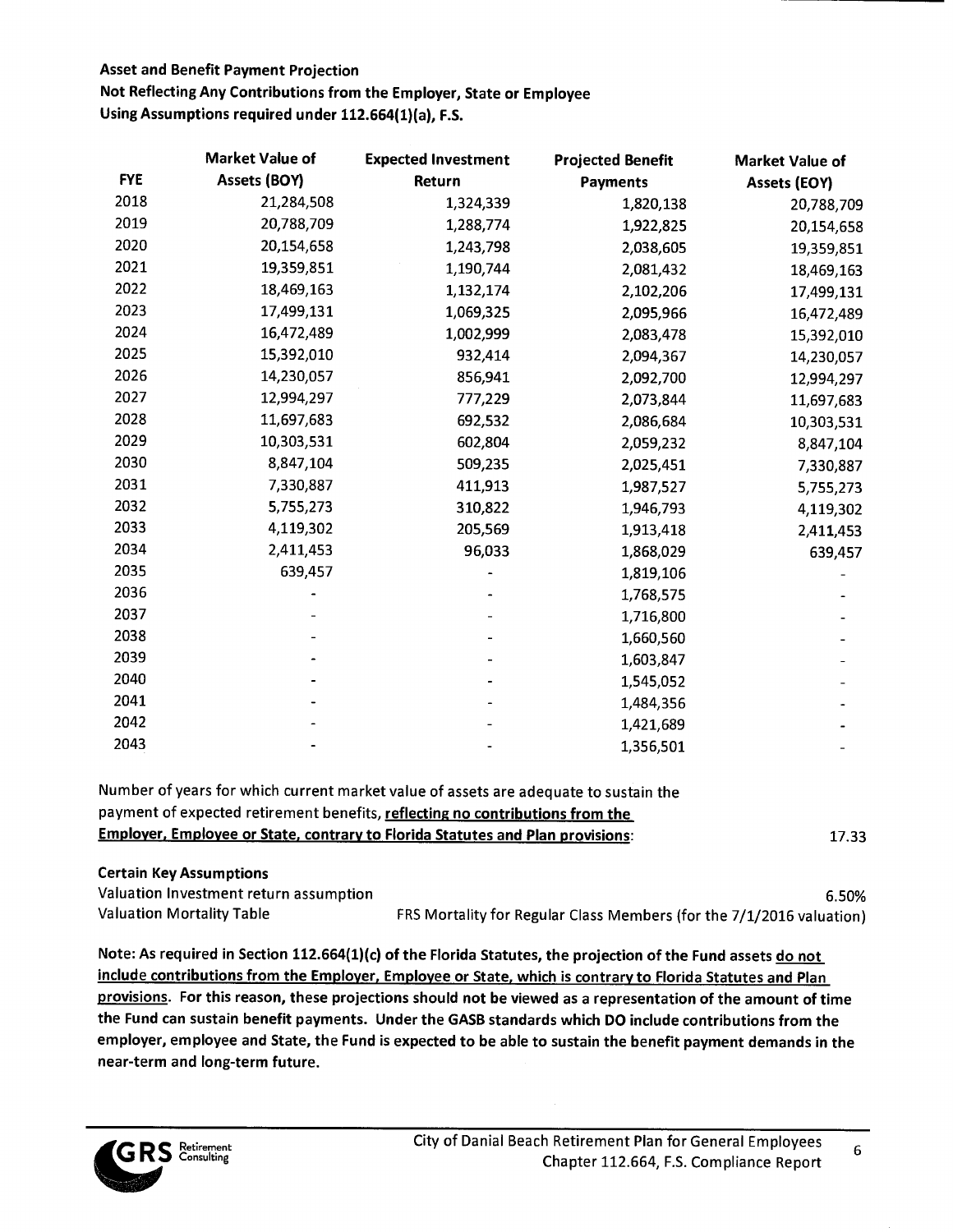Not Reflecting Any Contributions from the Employer, State or Employee

**Using Assumptions required under 112.664(1)(a), F.S.** 

|            | <b>Market Value of</b> | <b>Expected Investment</b> | <b>Projected Benefit</b> | Market Value of |
|------------|------------------------|----------------------------|--------------------------|-----------------|
| <b>FYE</b> | Assets (BOY)           | Return                     | <b>Payments</b>          | Assets (EOY)    |
| 2018       | 21,284,508             | 1,324,339                  | 1,820,138                | 20,788,709      |
| 2019       | 20,788,709             | 1,288,774                  | 1,922,825                | 20,154,658      |
| 2020       | 20,154,658             | 1,243,798                  | 2,038,605                | 19,359,851      |
| 2021       | 19,359,851             | 1,190,744                  | 2,081,432                | 18,469,163      |
| 2022       | 18,469,163             | 1,132,174                  | 2,102,206                | 17,499,131      |
| 2023       | 17,499,131             | 1,069,325                  | 2,095,966                | 16,472,489      |
| 2024       | 16,472,489             | 1,002,999                  | 2,083,478                | 15,392,010      |
| 2025       | 15,392,010             | 932,414                    | 2,094,367                | 14,230,057      |
| 2026       | 14,230,057             | 856,941                    | 2,092,700                | 12,994,297      |
| 2027       | 12,994,297             | 777,229                    | 2,073,844                | 11,697,683      |
| 2028       | 11,697,683             | 692,532                    | 2,086,684                | 10,303,531      |
| 2029       | 10,303,531             | 602,804                    | 2,059,232                | 8,847,104       |
| 2030       | 8,847,104              | 509,235                    | 2,025,451                | 7,330,887       |
| 2031       | 7,330,887              | 411,913                    | 1,987,527                | 5,755,273       |
| 2032       | 5,755,273              | 310,822                    | 1,946,793                | 4,119,302       |
| 2033       | 4,119,302              | 205,569                    | 1,913,418                | 2,411,453       |
| 2034       | 2,411,453              | 96,033                     | 1,868,029                | 639,457         |
| 2035       | 639,457                |                            | 1,819,106                |                 |
| 2036       |                        |                            | 1,768,575                |                 |
| 2037       |                        |                            | 1,716,800                |                 |
| 2038       |                        |                            | 1,660,560                |                 |
| 2039       |                        |                            | 1,603,847                |                 |
| 2040       |                        |                            | 1,545,052                |                 |
| 2041       |                        |                            | 1,484,356                |                 |
| 2042       |                        |                            | 1,421,689                |                 |
| 2043       |                        |                            | 1,356,501                |                 |

| Number of years for which current market value of assets are adequate to sustain the  |       |
|---------------------------------------------------------------------------------------|-------|
| payment of expected retirement benefits, reflecting no contributions from the         |       |
| <b>Employer, Employee or State, contrary to Florida Statutes and Plan provisions:</b> | 17.33 |

| <b>Certain Key Assumptions</b>         |                                                                      |
|----------------------------------------|----------------------------------------------------------------------|
| Valuation Investment return assumption | 6.50%                                                                |
| <b>Valuation Mortality Table</b>       | FRS Mortality for Regular Class Members (for the 7/1/2016 valuation) |

Note: As required in Section 112.664(1)(c) of the Florida Statutes, the projection of the Fund assets do not include contributions from the Employer, Employee or State, which is contrary to Florida Statutes and Plan provisions. For this reason, these projections should not be viewed as a representation of the amount of time the Fund can sustain benefit payments. Under the GASB standards which DO include contributions from the employer, employee and State, the Fund is expected to be able to sustain the benefit payment demands in the near-term and long-term future.

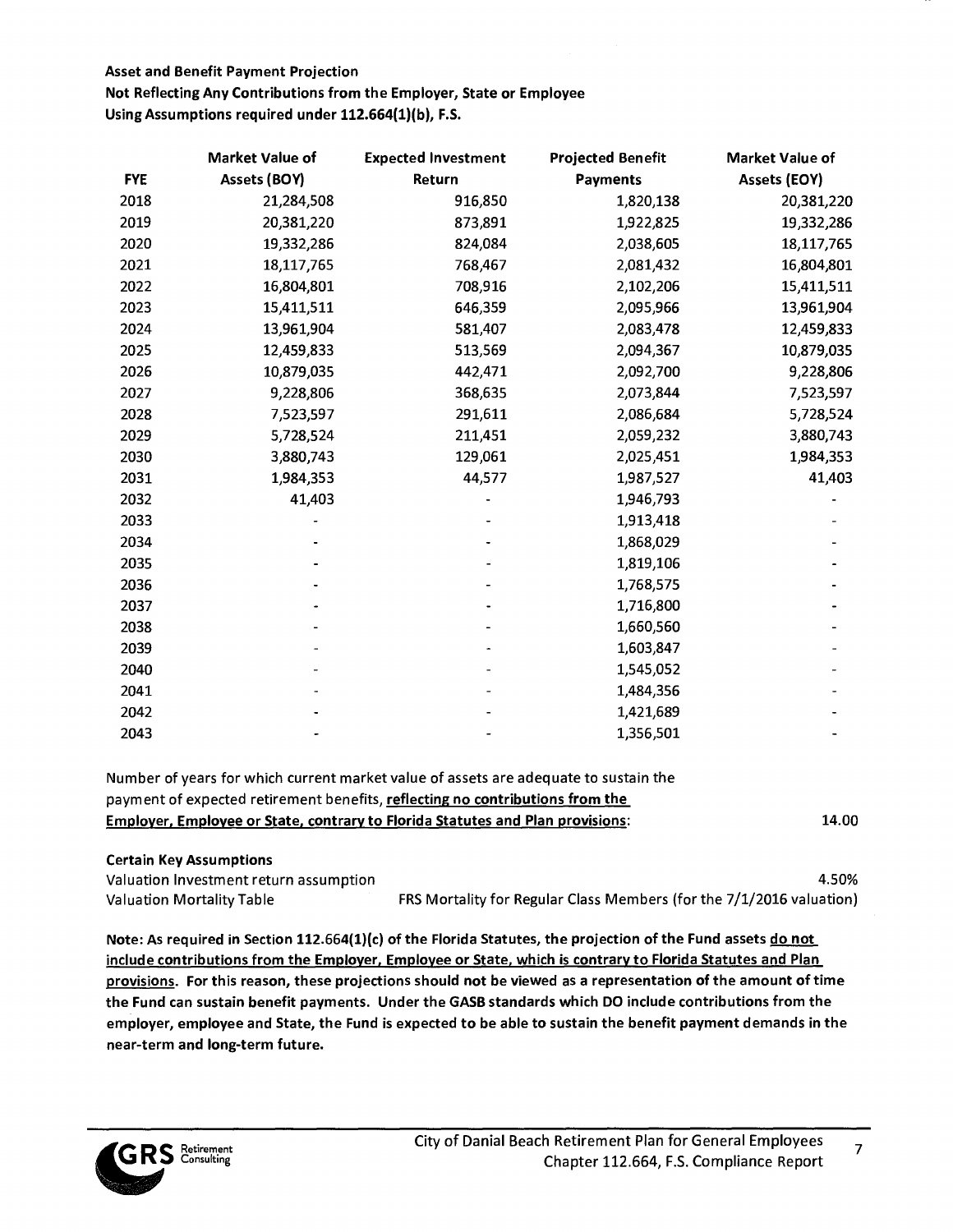Not Reflecting Any Contributions from the Employer, State or Employee **Using Assumptions required under 112.664(1)(b), F.S.** 

|            | Market Value of | <b>Expected Investment</b> | <b>Projected Benefit</b> | <b>Market Value of</b> |
|------------|-----------------|----------------------------|--------------------------|------------------------|
| <b>FYE</b> | Assets (BOY)    | Return                     | <b>Payments</b>          | Assets (EOY)           |
| 2018       | 21,284,508      | 916,850                    | 1,820,138                | 20,381,220             |
| 2019       | 20,381,220      | 873,891                    | 1,922,825                | 19,332,286             |
| 2020       | 19,332,286      | 824,084                    | 2,038,605                | 18,117,765             |
| 2021       | 18,117,765      | 768,467                    | 2,081,432                | 16,804,801             |
| 2022       | 16,804,801      | 708,916                    | 2,102,206                | 15,411,511             |
| 2023       | 15,411,511      | 646,359                    | 2,095,966                | 13,961,904             |
| 2024       | 13,961,904      | 581,407                    | 2,083,478                | 12,459,833             |
| 2025       | 12,459,833      | 513,569                    | 2,094,367                | 10,879,035             |
| 2026       | 10,879,035      | 442,471                    | 2,092,700                | 9,228,806              |
| 2027       | 9,228,806       | 368,635                    | 2,073,844                | 7,523,597              |
| 2028       | 7,523,597       | 291,611                    | 2,086,684                | 5,728,524              |
| 2029       | 5,728,524       | 211,451                    | 2,059,232                | 3,880,743              |
| 2030       | 3,880,743       | 129,061                    | 2,025,451                | 1,984,353              |
| 2031       | 1,984,353       | 44,577                     | 1,987,527                | 41,403                 |
| 2032       | 41,403          |                            | 1,946,793                |                        |
| 2033       |                 |                            | 1,913,418                |                        |
| 2034       |                 |                            | 1,868,029                |                        |
| 2035       |                 |                            | 1,819,106                |                        |
| 2036       |                 |                            | 1,768,575                |                        |
| 2037       |                 |                            | 1,716,800                |                        |
| 2038       |                 |                            | 1,660,560                |                        |
| 2039       |                 |                            | 1,603,847                |                        |
| 2040       |                 |                            | 1,545,052                |                        |
| 2041       |                 |                            | 1,484,356                |                        |
| 2042       |                 |                            | 1,421,689                |                        |
| 2043       |                 |                            | 1,356,501                |                        |

Number of years for which current market value of assets are adequate to sustain the payment of expected retirement benefits, reflecting no contributions from the Employer, Employee or State, contrary to Florida Statutes and Plan provisions: 14.00

#### Certain Key **Assumptions**

Valuation Investment return assumption 4.50% Valuation Mortality Table FRS Mortality for Regular Class Members (for the 7/1/2016 valuation)

Note: As required in Section 112.664(1)(c) of the Florida Statutes, the projection of the Fund assets do not include contributions from the Employer, Employee or State, which is contrary to Florida Statutes and Plan provisions. For this reason, these projections should not be viewed as a representation of the amount of time the Fund can sustain benefit payments. Under the GASB standards which DO include contributions from the employer, employee and State, the Fund is expected to be able to sustain the benefit payment demands in the near-term and long-term future.

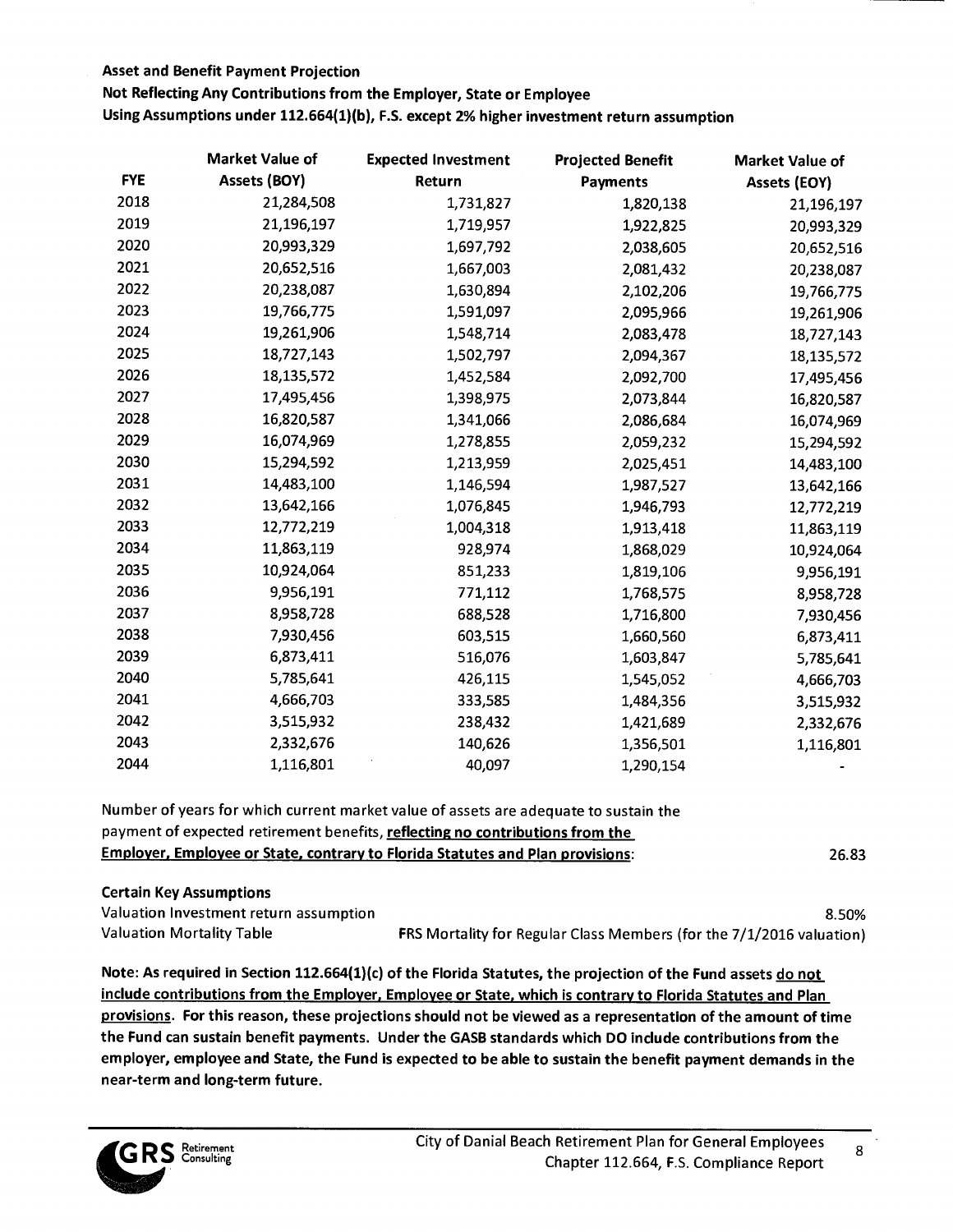Not Reflecting Any Contributions from the Employer, State or Employee

Using Assumptions under 112.664(1)(b), F.S. except 2% higher investment return **assumption** 

|            | <b>Market Value of</b> | <b>Expected Investment</b> | <b>Projected Benefit</b> | <b>Market Value of</b> |
|------------|------------------------|----------------------------|--------------------------|------------------------|
| <b>FYE</b> | Assets (BOY)           | Return                     | <b>Payments</b>          | <b>Assets (EOY)</b>    |
| 2018       | 21,284,508             | 1,731,827                  | 1,820,138                | 21,196,197             |
| 2019       | 21,196,197             | 1,719,957                  | 1,922,825                | 20,993,329             |
| 2020       | 20,993,329             | 1,697,792                  | 2,038,605                | 20,652,516             |
| 2021       | 20,652,516             | 1,667,003                  | 2,081,432                | 20,238,087             |
| 2022       | 20,238,087             | 1,630,894                  | 2,102,206                | 19,766,775             |
| 2023       | 19,766,775             | 1,591,097                  | 2,095,966                | 19,261,906             |
| 2024       | 19,261,906             | 1,548,714                  | 2,083,478                | 18,727,143             |
| 2025       | 18,727,143             | 1,502,797                  | 2,094,367                | 18,135,572             |
| 2026       | 18,135,572             | 1,452,584                  | 2,092,700                | 17,495,456             |
| 2027       | 17,495,456             | 1,398,975                  | 2,073,844                | 16,820,587             |
| 2028       | 16,820,587             | 1,341,066                  | 2,086,684                | 16,074,969             |
| 2029       | 16,074,969             | 1,278,855                  | 2,059,232                | 15,294,592             |
| 2030       | 15,294,592             | 1,213,959                  | 2,025,451                | 14,483,100             |
| 2031       | 14,483,100             | 1,146,594                  | 1,987,527                | 13,642,166             |
| 2032       | 13,642,166             | 1,076,845                  | 1,946,793                | 12,772,219             |
| 2033       | 12,772,219             | 1,004,318                  | 1,913,418                | 11,863,119             |
| 2034       | 11,863,119             | 928,974                    | 1,868,029                | 10,924,064             |
| 2035       | 10,924,064             | 851,233                    | 1,819,106                | 9,956,191              |
| 2036       | 9,956,191              | 771,112                    | 1,768,575                | 8,958,728              |
| 2037       | 8,958,728              | 688,528                    | 1,716,800                | 7,930,456              |
| 2038       | 7,930,456              | 603,515                    | 1,660,560                | 6,873,411              |
| 2039       | 6,873,411              | 516,076                    | 1,603,847                | 5,785,641              |
| 2040       | 5,785,641              | 426,115                    | 1,545,052                | 4,666,703              |
| 2041       | 4,666,703              | 333,585                    | 1,484,356                | 3,515,932              |
| 2042       | 3,515,932              | 238,432                    | 1,421,689                | 2,332,676              |
| 2043       | 2,332,676              | 140,626                    | 1,356,501                | 1,116,801              |
| 2044       | 1,116,801              | 40,097                     | 1,290,154                |                        |

Number of years for which current market value of assets are adequate to sustain the payment of expected retirement benefits, **reflecting no contributions from the Employer, Employee or State, contrary to Florida Statutes and Plan provisions:** 26.83

## **Certain Key Assumptions**  Valuation Investment return assumption 8.50% and the state of the state of the state of the state of the state of the state of the state of the state of the state of the state of the state of the state of the state of the Valuation Mortality Table FRS Mortality for Regular Class Members (for the 7/1/2016 valuation)

Note: As required in Section 112.664(1)(c) of the Florida Statutes, the projection of the Fund assets do not include contributions from the Employer, Employee or State, which is contrary to Florida Statutes and Plan provisions. For this reason, these projections should not be viewed as a representation of the amount of time the Fund can sustain benefit payments. Under the GASB standards which DO include contributions from the employer, employee and State, the Fund is expected to be able to sustain the benefit payment demands in the near-term and long-term future.